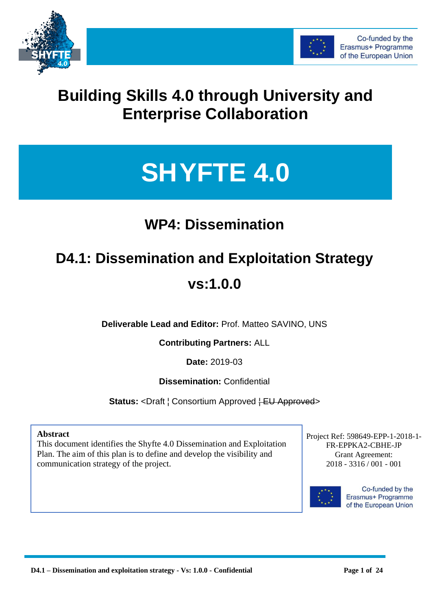



# **Building Skills 4.0 through University and Enterprise Collaboration**

# **SHYFTE 4.0**

# **WP4: Dissemination**

# **D4.1: Dissemination and Exploitation Strategy**

## **vs:1.0.0**

**Deliverable Lead and Editor:** Prof. Matteo SAVINO, UNS

#### **Contributing Partners:** ALL

**Date:** 2019-03

**Dissemination:** Confidential

**Status:** <Draft | Consortium Approved + EU Approved>

#### **Abstract**

This document identifies the Shyfte 4.0 Dissemination and Exploitation Plan. The aim of this plan is to define and develop the visibility and communication strategy of the project.

Grant Agreement: Grant Agreement: xxxxxxxxxx 2018 - 3316 / 001 - 001 Project Ref: 598649-EPP-1-2018-1- FR-EPPKA2-CBHE-JP



Co-funded by the Erasmus+ Programme of the European Union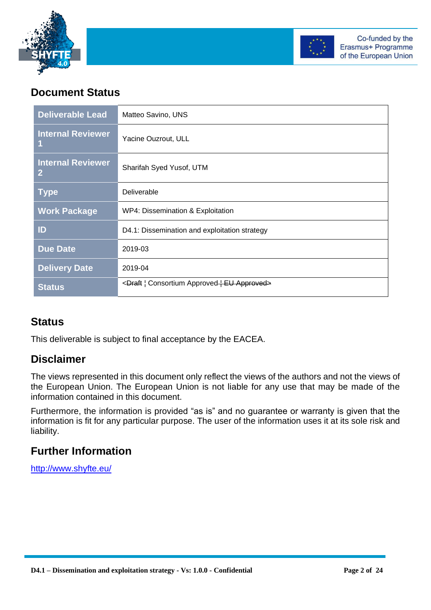



#### **Document Status**

| <b>Deliverable Lead</b>                    | Matteo Savino, UNS                                   |
|--------------------------------------------|------------------------------------------------------|
| <b>Internal Reviewer</b><br>1              | Yacine Ouzrout, ULL                                  |
| <b>Internal Reviewer</b><br>$\overline{2}$ | Sharifah Syed Yusof, UTM                             |
| <b>Type</b>                                | Deliverable                                          |
| <b>Work Package</b>                        | WP4: Dissemination & Exploitation                    |
| ID                                         | D4.1: Dissemination and exploitation strategy        |
| <b>Due Date</b>                            | 2019-03                                              |
| <b>Delivery Date</b>                       | 2019-04                                              |
| <b>Status</b>                              | <draft approved="" consortium="" eu=""  =""></draft> |

#### **Status**

This deliverable is subject to final acceptance by the EACEA.

#### **Disclaimer**

The views represented in this document only reflect the views of the authors and not the views of the European Union. The European Union is not liable for any use that may be made of the information contained in this document.

Furthermore, the information is provided "as is" and no guarantee or warranty is given that the information is fit for any particular purpose. The user of the information uses it at its sole risk and liability.

#### **Further Information**

<http://www.shyfte.eu/>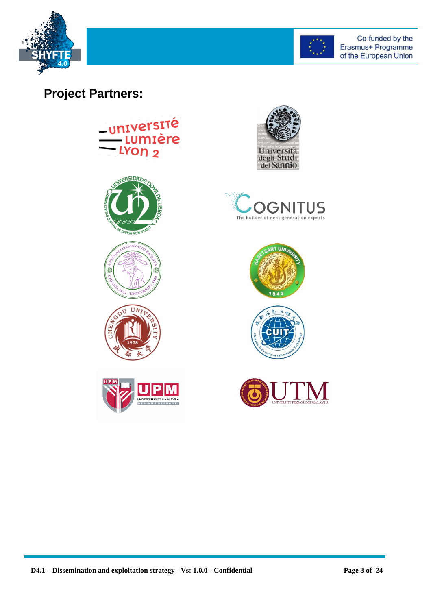



## **Project Partners:**



















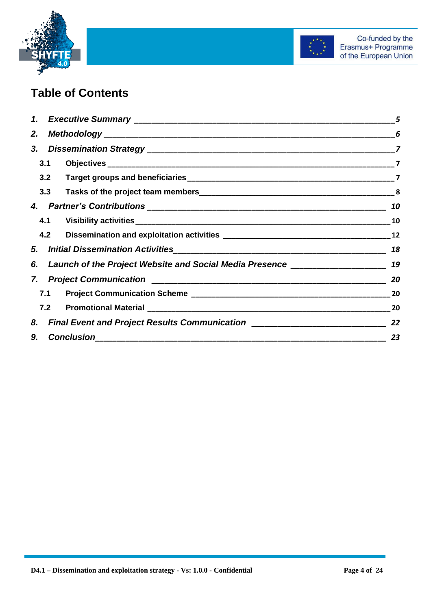



## **Table of Contents**

|     |                                                                                      | 5  |
|-----|--------------------------------------------------------------------------------------|----|
| 2.  |                                                                                      |    |
|     |                                                                                      |    |
| 3.1 |                                                                                      |    |
| 3.2 |                                                                                      |    |
| 3.3 |                                                                                      |    |
|     |                                                                                      | 10 |
|     |                                                                                      | 10 |
| 4.2 |                                                                                      |    |
|     |                                                                                      | 18 |
|     | 6. Launch of the Project Website and Social Media Presence ______________________ 19 |    |
|     |                                                                                      | 20 |
|     | 7.1                                                                                  | 20 |
|     |                                                                                      | 20 |
|     | 8. Final Event and Project Results Communication _______________________________     | 22 |
| 9.  | <b>Conclusion</b>                                                                    | 23 |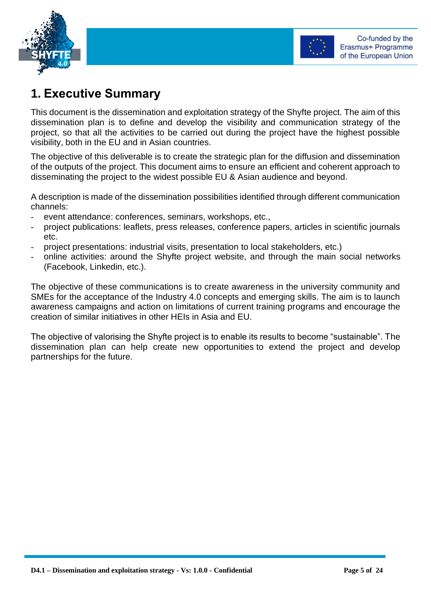



## <span id="page-4-0"></span>**1. Executive Summary**

This document is the dissemination and exploitation strategy of the Shyfte project. The aim of this dissemination plan is to define and develop the visibility and communication strategy of the project, so that all the activities to be carried out during the project have the highest possible visibility, both in the EU and in Asian countries.

The objective of this deliverable is to create the strategic plan for the diffusion and dissemination of the outputs of the project. This document aims to ensure an efficient and coherent approach to disseminating the project to the widest possible EU & Asian audience and beyond.

A description is made of the dissemination possibilities identified through different communication channels:

- event attendance: conferences, seminars, workshops, etc.,
- project publications: leaflets, press releases, conference papers, articles in scientific journals etc.
- project presentations: industrial visits, presentation to local stakeholders, etc.)
- online activities: around the Shyfte project website, and through the main social networks (Facebook, Linkedin, etc.).

The objective of these communications is to create awareness in the university community and SMEs for the acceptance of the Industry 4.0 concepts and emerging skills. The aim is to launch awareness campaigns and action on limitations of current training programs and encourage the creation of similar initiatives in other HEIs in Asia and EU.

The objective of valorising the Shyfte project is to enable its results to become "sustainable". The dissemination plan can help create new opportunities to extend the project and develop partnerships for the future.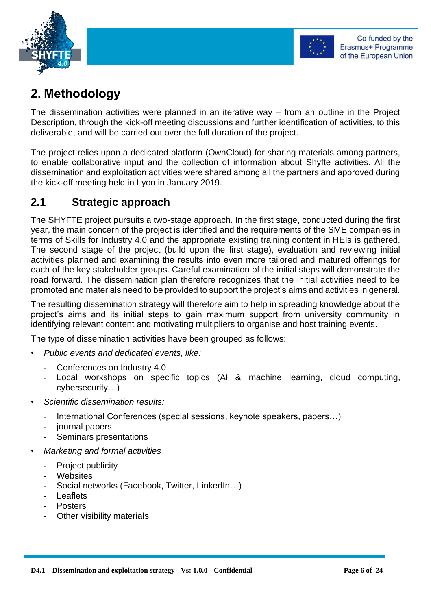



## <span id="page-5-0"></span>**2. Methodology**

The dissemination activities were planned in an iterative way – from an outline in the Project Description, through the kick-off meeting discussions and further identification of activities, to this deliverable, and will be carried out over the full duration of the project.

The project relies upon a dedicated platform (OwnCloud) for sharing materials among partners, to enable collaborative input and the collection of information about Shyfte activities. All the dissemination and exploitation activities were shared among all the partners and approved during the kick-off meeting held in Lyon in January 2019.

#### **2.1 Strategic approach**

The SHYFTE project pursuits a two-stage approach. In the first stage, conducted during the first year, the main concern of the project is identified and the requirements of the SME companies in terms of Skills for Industry 4.0 and the appropriate existing training content in HEIs is gathered. The second stage of the project (build upon the first stage), evaluation and reviewing initial activities planned and examining the results into even more tailored and matured offerings for each of the key stakeholder groups. Careful examination of the initial steps will demonstrate the road forward. The dissemination plan therefore recognizes that the initial activities need to be promoted and materials need to be provided to support the project's aims and activities in general.

The resulting dissemination strategy will therefore aim to help in spreading knowledge about the project's aims and its initial steps to gain maximum support from university community in identifying relevant content and motivating multipliers to organise and host training events.

The type of dissemination activities have been grouped as follows:

- *Public events and dedicated events, like:*
	- Conferences on Industry 4.0
	- Local workshops on specific topics (AI & machine learning, cloud computing, cybersecurity…)
- *Scientific dissemination results:*
	- International Conferences (special sessions, keynote speakers, papers...)
	- iournal papers
	- Seminars presentations
- *Marketing and formal activities*
	- Project publicity
	- **Websites**
	- Social networks (Facebook, Twitter, LinkedIn...)
	- **Leaflets**
	- **Posters**
	- Other visibility materials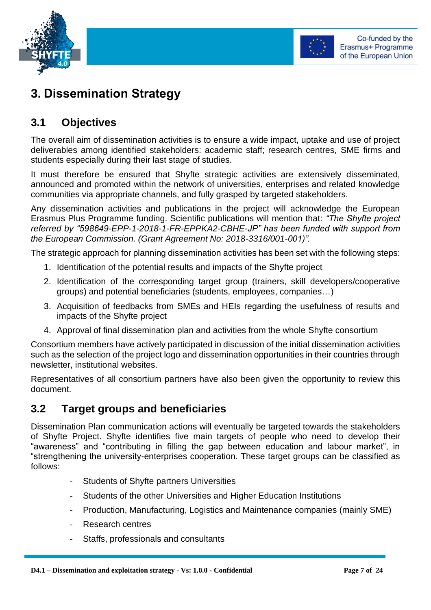



## <span id="page-6-0"></span>**3. Dissemination Strategy**

#### <span id="page-6-1"></span>**3.1 Objectives**

The overall aim of dissemination activities is to ensure a wide impact, uptake and use of project deliverables among identified stakeholders: academic staff; research centres, SME firms and students especially during their last stage of studies.

It must therefore be ensured that Shyfte strategic activities are extensively disseminated, announced and promoted within the network of universities, enterprises and related knowledge communities via appropriate channels, and fully grasped by targeted stakeholders.

Any dissemination activities and publications in the project will acknowledge the European Erasmus Plus Programme funding. Scientific publications will mention that: *"The Shyfte project referred by "598649-EPP-1-2018-1-FR-EPPKA2-CBHE-JP" has been funded with support from the European Commission. (Grant Agreement No: 2018-3316/001-001)".* 

The strategic approach for planning dissemination activities has been set with the following steps:

- 1. Identification of the potential results and impacts of the Shyfte project
- 2. Identification of the corresponding target group (trainers, skill developers/cooperative groups) and potential beneficiaries (students, employees, companies…)
- 3. Acquisition of feedbacks from SMEs and HEIs regarding the usefulness of results and impacts of the Shyfte project
- 4. Approval of final dissemination plan and activities from the whole Shyfte consortium

Consortium members have actively participated in discussion of the initial dissemination activities such as the selection of the project logo and dissemination opportunities in their countries through newsletter, institutional websites.

Representatives of all consortium partners have also been given the opportunity to review this document.

#### <span id="page-6-2"></span>**3.2 Target groups and beneficiaries**

Dissemination Plan communication actions will eventually be targeted towards the stakeholders of Shyfte Project. Shyfte identifies five main targets of people who need to develop their "awareness" and "contributing in filling the gap between education and labour market", in "strengthening the university-enterprises cooperation. These target groups can be classified as follows:

- Students of Shyfte partners Universities
- Students of the other Universities and Higher Education Institutions
- Production, Manufacturing, Logistics and Maintenance companies (mainly SME)
- Research centres
- Staffs, professionals and consultants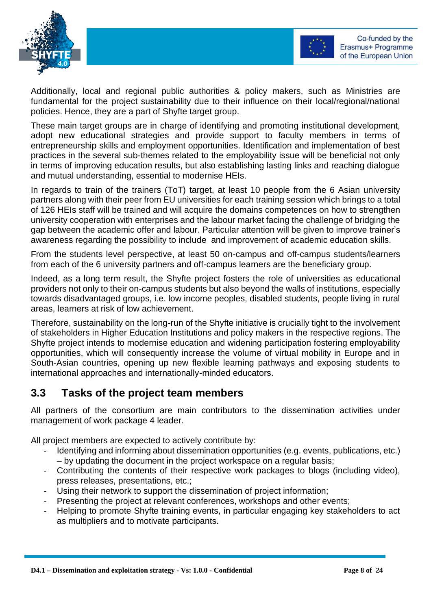



Additionally, local and regional public authorities & policy makers, such as Ministries are fundamental for the project sustainability due to their influence on their local/regional/national policies. Hence, they are a part of Shyfte target group.

These main target groups are in charge of identifying and promoting institutional development, adopt new educational strategies and provide support to faculty members in terms of entrepreneurship skills and employment opportunities. Identification and implementation of best practices in the several sub-themes related to the employability issue will be beneficial not only in terms of improving education results, but also establishing lasting links and reaching dialogue and mutual understanding, essential to modernise HEIs.

In regards to train of the trainers (ToT) target, at least 10 people from the 6 Asian university partners along with their peer from EU universities for each training session which brings to a total of 126 HEIs staff will be trained and will acquire the domains competences on how to strengthen university cooperation with enterprises and the labour market facing the challenge of bridging the gap between the academic offer and labour. Particular attention will be given to improve trainer's awareness regarding the possibility to include and improvement of academic education skills.

From the students level perspective, at least 50 on-campus and off-campus students/learners from each of the 6 university partners and off-campus learners are the beneficiary group.

Indeed, as a long term result, the Shyfte project fosters the role of universities as educational providers not only to their on-campus students but also beyond the walls of institutions, especially towards disadvantaged groups, i.e. low income peoples, disabled students, people living in rural areas, learners at risk of low achievement.

Therefore, sustainability on the long-run of the Shyfte initiative is crucially tight to the involvement of stakeholders in Higher Education Institutions and policy makers in the respective regions. The Shyfte project intends to modernise education and widening participation fostering employability opportunities, which will consequently increase the volume of virtual mobility in Europe and in South-Asian countries, opening up new flexible learning pathways and exposing students to international approaches and internationally-minded educators.

#### <span id="page-7-0"></span>**3.3 Tasks of the project team members**

All partners of the consortium are main contributors to the dissemination activities under management of work package 4 leader.

All project members are expected to actively contribute by:

- Identifying and informing about dissemination opportunities (e.g. events, publications, etc.) – by updating the document in the project workspace on a regular basis;
- Contributing the contents of their respective work packages to blogs (including video), press releases, presentations, etc.;
- Using their network to support the dissemination of project information;
- Presenting the project at relevant conferences, workshops and other events;
- Helping to promote Shyfte training events, in particular engaging key stakeholders to act as multipliers and to motivate participants.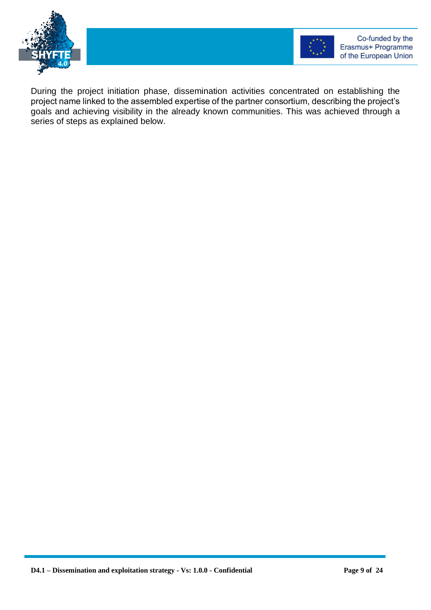



During the project initiation phase, dissemination activities concentrated on establishing the project name linked to the assembled expertise of the partner consortium, describing the project's goals and achieving visibility in the already known communities. This was achieved through a series of steps as explained below.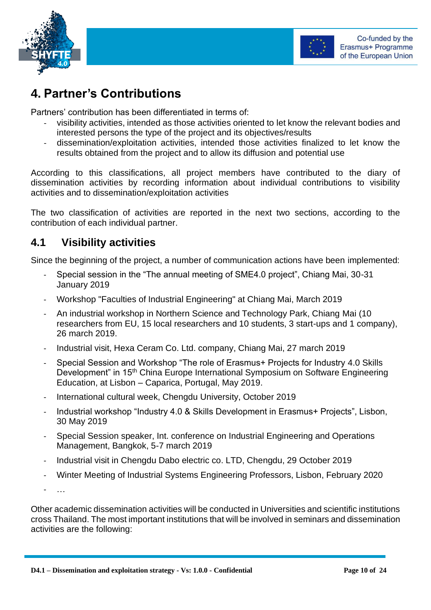



## <span id="page-9-0"></span>**4. Partner's Contributions**

Partners' contribution has been differentiated in terms of:

- visibility activities, intended as those activities oriented to let know the relevant bodies and interested persons the type of the project and its objectives/results
- dissemination/exploitation activities, intended those activities finalized to let know the results obtained from the project and to allow its diffusion and potential use

According to this classifications, all project members have contributed to the diary of dissemination activities by recording information about individual contributions to visibility activities and to dissemination/exploitation activities

The two classification of activities are reported in the next two sections, according to the contribution of each individual partner.

#### <span id="page-9-1"></span>**4.1 Visibility activities**

Since the beginning of the project, a number of communication actions have been implemented:

- Special session in the "The annual meeting of SME4.0 project", Chiang Mai, 30-31 January 2019
- Workshop "Faculties of Industrial Engineering" at Chiang Mai, March 2019
- An industrial workshop in Northern Science and Technology Park, Chiang Mai (10 researchers from EU, 15 local researchers and 10 students, 3 start-ups and 1 company), 26 march 2019.
- Industrial visit, Hexa Ceram Co. Ltd. company, Chiang Mai, 27 march 2019
- Special Session and Workshop "The role of Erasmus+ Projects for Industry 4.0 Skills Development" in 15<sup>th</sup> China Europe International Symposium on Software Engineering Education, at Lisbon – Caparica, Portugal, May 2019.
- International cultural week, Chengdu University, October 2019
- Industrial workshop "Industry 4.0 & Skills Development in Erasmus+ Projects", Lisbon, 30 May 2019
- Special Session speaker, Int. conference on Industrial Engineering and Operations Management, Bangkok, 5-7 march 2019
- Industrial visit in Chengdu Dabo electric co. LTD, Chengdu, 29 October 2019
- Winter Meeting of Industrial Systems Engineering Professors, Lisbon, February 2020

- …

Other academic dissemination activities will be conducted in Universities and scientific institutions cross Thailand. The most important institutions that will be involved in seminars and dissemination activities are the following: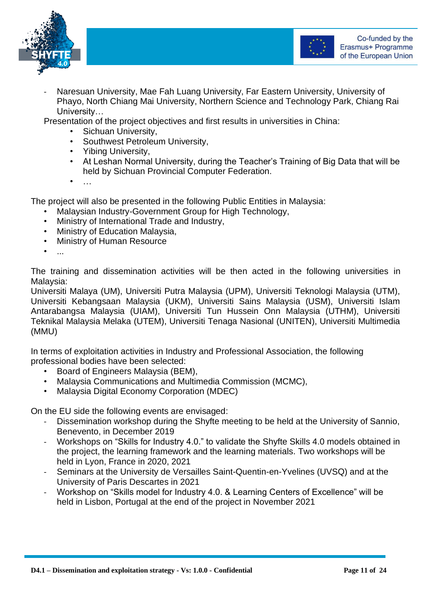



Naresuan University, Mae Fah Luang University, Far Eastern University, University of Phayo, North Chiang Mai University, Northern Science and Technology Park, Chiang Rai University…

Presentation of the project objectives and first results in universities in China:

- Sichuan University,
- Southwest Petroleum University,
- Yibing University,
- At Leshan Normal University, during the Teacher's Training of Big Data that will be held by Sichuan Provincial Computer Federation.
- $\bullet$  ……

The project will also be presented in the following Public Entities in Malaysia:

- Malaysian Industry-Government Group for High Technology,
- Ministry of International Trade and Industry,
- Ministry of Education Malaysia,
- Ministry of Human Resource
- ...

The training and dissemination activities will be then acted in the following universities in Malaysia:

Universiti Malaya (UM), Universiti Putra Malaysia (UPM), Universiti Teknologi Malaysia (UTM), Universiti Kebangsaan Malaysia (UKM), Universiti Sains Malaysia (USM), Universiti Islam Antarabangsa Malaysia (UIAM), Universiti Tun Hussein Onn Malaysia (UTHM), Universiti Teknikal Malaysia Melaka (UTEM), Universiti Tenaga Nasional (UNITEN), Universiti Multimedia (MMU)

In terms of exploitation activities in Industry and Professional Association, the following professional bodies have been selected:

- Board of Engineers Malaysia (BEM),
- Malaysia Communications and Multimedia Commission (MCMC),
- Malaysia Digital Economy Corporation (MDEC)

On the EU side the following events are envisaged:

- Dissemination workshop during the Shyfte meeting to be held at the University of Sannio, Benevento, in December 2019
- Workshops on "Skills for Industry 4.0." to validate the Shyfte Skills 4.0 models obtained in the project, the learning framework and the learning materials. Two workshops will be held in Lyon, France in 2020, 2021
- Seminars at the University de Versailles Saint-Quentin-en-Yvelines (UVSQ) and at the University of Paris Descartes in 2021
- Workshop on "Skills model for Industry 4.0. & Learning Centers of Excellence" will be held in Lisbon, Portugal at the end of the project in November 2021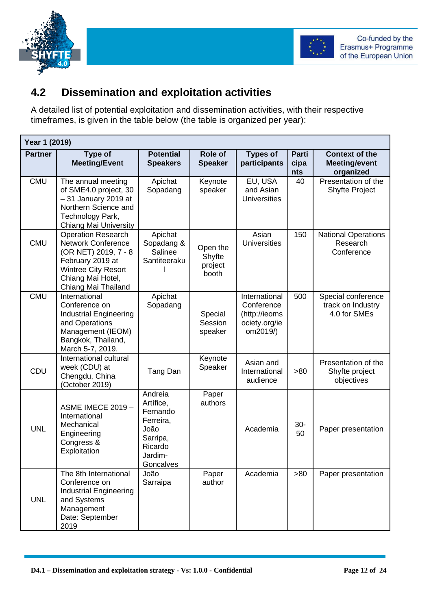



#### <span id="page-11-0"></span>**4.2 Dissemination and exploitation activities**

A detailed list of potential exploitation and dissemination activities, with their respective timeframes, is given in the table below (the table is organized per year):

| Year 1 (2019)  |                                                                                                                                                                              |                                                                                                      |                                        |                                                                           |                      |                                                            |
|----------------|------------------------------------------------------------------------------------------------------------------------------------------------------------------------------|------------------------------------------------------------------------------------------------------|----------------------------------------|---------------------------------------------------------------------------|----------------------|------------------------------------------------------------|
| <b>Partner</b> | Type of<br><b>Meeting/Event</b>                                                                                                                                              | <b>Potential</b><br><b>Speakers</b>                                                                  | <b>Role of</b><br><b>Speaker</b>       | <b>Types of</b><br>participants                                           | Parti<br>cipa<br>nts | <b>Context of the</b><br><b>Meeting/event</b><br>organized |
| <b>CMU</b>     | The annual meeting<br>of SME4.0 project, 30<br>-31 January 2019 at<br>Northern Science and<br>Technology Park,<br>Chiang Mai University                                      | Apichat<br>Sopadang                                                                                  | Keynote<br>speaker                     | EU, USA<br>and Asian<br><b>Universities</b>                               | 40                   | Presentation of the<br><b>Shyfte Project</b>               |
| <b>CMU</b>     | <b>Operation Research</b><br><b>Network Conference</b><br>(OR NET) 2019, 7 - 8<br>February 2019 at<br><b>Wintree City Resort</b><br>Chiang Mai Hotel,<br>Chiang Mai Thailand | Apichat<br>Sopadang &<br>Salinee<br>Santiteeraku                                                     | Open the<br>Shyfte<br>project<br>booth | Asian<br><b>Universities</b>                                              | 150                  | <b>National Operations</b><br>Research<br>Conference       |
| <b>CMU</b>     | International<br>Conference on<br><b>Industrial Engineering</b><br>and Operations<br>Management (IEOM)<br>Bangkok, Thailand,<br>March 5-7, 2019.                             | Apichat<br>Sopadang                                                                                  | Special<br>Session<br>speaker          | International<br>Conference<br>(http://ieoms<br>ociety.org/ie<br>om2019/) | 500                  | Special conference<br>track on Industry<br>4.0 for SMEs    |
| CDU            | International cultural<br>week (CDU) at<br>Chengdu, China<br>(October 2019)                                                                                                  | Tang Dan                                                                                             | Keynote<br>Speaker                     | Asian and<br>International<br>audience                                    | >80                  | Presentation of the<br>Shyfte project<br>objectives        |
| <b>UNL</b>     | <b>ASME IMECE 2019 -</b><br>International<br>Mechanical<br>Engineering<br>Congress &<br>Exploitation                                                                         | Andreia<br>Artífice,<br>Fernando<br>Ferreira,<br>João<br>Sarripa,<br>Ricardo<br>Jardim-<br>Goncalves | Paper<br>authors                       | Academia                                                                  | $30-$<br>50          | Paper presentation                                         |
| <b>UNL</b>     | The 8th International<br>Conference on<br><b>Industrial Engineering</b><br>and Systems<br>Management<br>Date: September<br>2019                                              | João<br>Sarraipa                                                                                     | Paper<br>author                        | Academia                                                                  | >80                  | Paper presentation                                         |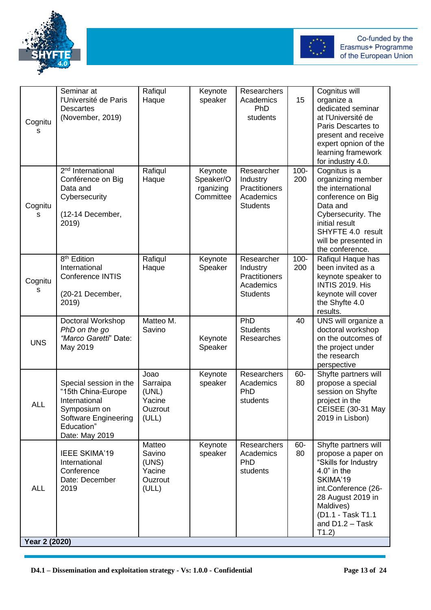



| Cognitu<br>s                | Seminar at<br>l'Université de Paris<br><b>Descartes</b><br>(November, 2019)                                                           | Rafiqul<br>Haque                                        | Keynote<br>speaker                             | Researchers<br>Academics<br>PhD<br>students                             | 15             | Cognitus will<br>organize a<br>dedicated seminar<br>at l'Université de<br>Paris Descartes to<br>present and receive<br>expert opnion of the<br>learning framework<br>for industry 4.0.                     |
|-----------------------------|---------------------------------------------------------------------------------------------------------------------------------------|---------------------------------------------------------|------------------------------------------------|-------------------------------------------------------------------------|----------------|------------------------------------------------------------------------------------------------------------------------------------------------------------------------------------------------------------|
| Cognitu<br>S                | 2 <sup>nd</sup> International<br>Conférence on Big<br>Data and<br>Cybersecurity<br>(12-14 December,<br>2019)                          | Rafiqul<br>Haque                                        | Keynote<br>Speaker/O<br>rganizing<br>Committee | Researcher<br>Industry<br>Practitioners<br>Academics<br><b>Students</b> | $100 -$<br>200 | Cognitus is a<br>organizing member<br>the international<br>conference on Big<br>Data and<br>Cybersecurity. The<br>initial result<br>SHYFTE 4.0 result<br>will be presented in<br>the conference.           |
| Cognitu<br>s                | 8 <sup>th</sup> Edition<br>International<br>Conference INTIS<br>(20-21 December,<br>2019)                                             | Rafiqul<br>Haque                                        | Keynote<br>Speaker                             | Researcher<br>Industry<br>Practitioners<br>Academics<br><b>Students</b> | $100 -$<br>200 | Rafiqul Haque has<br>been invited as a<br>keynote speaker to<br><b>INTIS 2019. His</b><br>keynote will cover<br>the Shyfte 4.0<br>results.                                                                 |
| <b>UNS</b>                  | Doctoral Workshop<br>PhD on the go<br>"Marco Garetti" Date:<br>May 2019                                                               | Matteo M.<br>Savino                                     | Keynote<br>Speaker                             | PhD<br><b>Students</b><br>Researches                                    | 40             | UNS will organize a<br>doctoral workshop<br>on the outcomes of<br>the project under<br>the research<br>perspective                                                                                         |
| <b>ALL</b>                  | Special session in the<br>"15th China-Europe<br>International<br>Symposium on<br>Software Engineering<br>Education"<br>Date: May 2019 | Joao<br>Sarraipa<br>(UNL)<br>Yacine<br>Ouzrout<br>(ULL) | Keynote<br>speaker                             | Researchers<br>Academics<br>PhD<br>students                             | 60-<br>80      | Shyfte partners will<br>propose a special<br>session on Shyfte<br>project in the<br>CEISEE (30-31 May<br>2019 in Lisbon)                                                                                   |
| <b>ALL</b><br>Year 2 (2020) | <b>IEEE SKIMA'19</b><br>International<br>Conference<br>Date: December<br>2019                                                         | Matteo<br>Savino<br>(UNS)<br>Yacine<br>Ouzrout<br>(ULL) | Keynote<br>speaker                             | Researchers<br>Academics<br>PhD<br>students                             | 60-<br>80      | Shyfte partners will<br>propose a paper on<br>"Skills for Industry<br>$4.0"$ in the<br>SKIMA'19<br>int.Conference (26-<br>28 August 2019 in<br>Maldives)<br>(D1.1 - Task T1.1<br>and $D1.2 - Task$<br>T1.2 |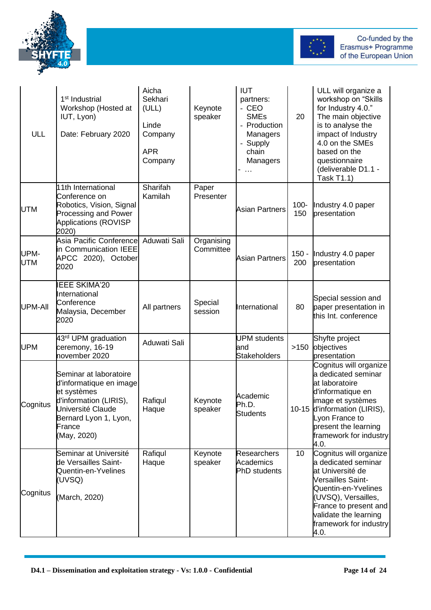



| ULL                | 1 <sup>st</sup> Industrial<br>Workshop (Hosted at<br>IUT, Lyon)<br>Date: February 2020                                                                            | Aicha<br>Sekhari<br>(ULL)<br>Linde<br>Company<br><b>APR</b><br>Company | Keynote<br>speaker      | <b>IUT</b><br>partners:<br>$-CEO$<br><b>SMEs</b><br>- Production<br>Managers<br>Supply<br>chain<br>Managers | 20             | ULL will organize a<br>workshop on "Skills<br>for Industry 4.0."<br>The main objective<br>is to analyse the<br>impact of Industry<br>4.0 on the SMEs<br>based on the<br>questionnaire<br>(deliverable D1.1 -<br>Task T1.1) |
|--------------------|-------------------------------------------------------------------------------------------------------------------------------------------------------------------|------------------------------------------------------------------------|-------------------------|-------------------------------------------------------------------------------------------------------------|----------------|----------------------------------------------------------------------------------------------------------------------------------------------------------------------------------------------------------------------------|
| <b>UTM</b>         | 11th International<br>Conference on<br>Robotics, Vision, Signal<br>Processing and Power<br><b>Applications (ROVISP</b><br>2020)                                   | Sharifah<br>Kamilah                                                    | Paper<br>Presenter      | <b>Asian Partners</b>                                                                                       | $100 -$<br>150 | Industry 4.0 paper<br>presentation                                                                                                                                                                                         |
| UPM-<br><b>UTM</b> | Asia Pacific Conference<br>In Communication IEEE<br>APCC 2020), October<br>2020                                                                                   | Aduwati Sali                                                           | Organising<br>Committee | <b>Asian Partners</b>                                                                                       | $150 -$<br>200 | Industry 4.0 paper<br>presentation                                                                                                                                                                                         |
| UPM-AII            | <b>EEE SKIMA'20</b><br>nternational<br>Conference<br>Malaysia, December<br>2020                                                                                   | All partners                                                           | Special<br>session      | International                                                                                               | 80             | Special session and<br>paper presentation in<br>this Int. conference                                                                                                                                                       |
| <b>UPM</b>         | 43 <sup>rd</sup> UPM graduation<br>ceremony, 16-19<br>november 2020                                                                                               | Aduwati Sali                                                           |                         | <b>UPM</b> students<br>and<br><b>Stakeholders</b>                                                           | >150           | Shyfte project<br>objectives<br>presentation                                                                                                                                                                               |
| Cognitus           | Seminar at laboratoire<br>d'informatique en image<br>et systèmes<br>d'information (LIRIS),<br>Université Claude<br>Bernard Lyon 1, Lyon,<br>France<br>(May, 2020) | Rafiqul<br>Haque                                                       | Keynote<br>speaker      | Academic<br>Ph.D.<br><b>Students</b>                                                                        |                | Cognitus will organize<br>a dedicated seminar<br>at laboratoire<br>d'informatique en<br>image et systèmes<br>10-15 d'information (LIRIS),<br>Lyon France to<br>present the learning<br>framework for industry<br>4.0.      |
| Cognitus           | Seminar at Université<br>de Versailles Saint-<br>Quentin-en-Yvelines<br>(UVSQ)<br>(March, 2020)                                                                   | Rafiqul<br>Haque                                                       | Keynote<br>speaker      | <b>Researchers</b><br>Academics<br>PhD students                                                             | 10             | Cognitus will organize<br>a dedicated seminar<br>at Université de<br>Versailles Saint-<br>Quentin-en-Yvelines<br>(UVSQ), Versailles,<br>France to present and<br>validate the learning<br>framework for industry<br>4.0.   |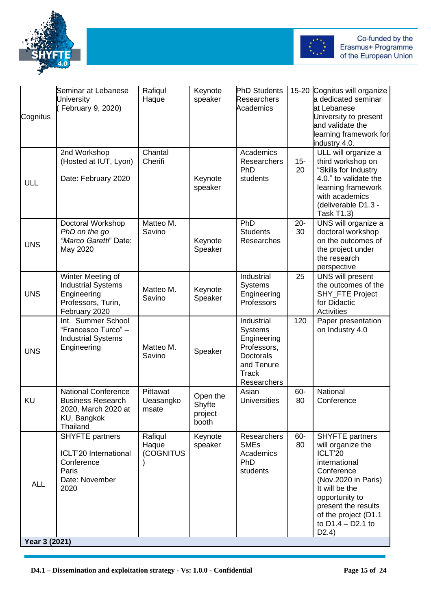



| Cognitus   | Seminar at Lebanese<br><b>Jniversity</b><br>February 9, 2020)                                            | Rafiqul<br>Haque               | Keynote<br>speaker                     | <b>PhD Students</b><br><b>Researchers</b><br>Academics                                                                      |              | 15-20 Cognitus will organize<br>a dedicated seminar<br>at Lebanese<br>University to present<br>and validate the<br>learning framework for<br>industry 4.0.                                                                      |  |  |
|------------|----------------------------------------------------------------------------------------------------------|--------------------------------|----------------------------------------|-----------------------------------------------------------------------------------------------------------------------------|--------------|---------------------------------------------------------------------------------------------------------------------------------------------------------------------------------------------------------------------------------|--|--|
| ULL        | 2nd Workshop<br>(Hosted at IUT, Lyon)<br>Date: February 2020                                             | Chantal<br>Cherifi             | Keynote<br>speaker                     | Academics<br><b>Researchers</b><br>PhD<br>students                                                                          | $15 -$<br>20 | ULL will organize a<br>third workshop on<br>"Skills for Industry<br>4.0." to validate the<br>learning framework<br>with academics<br>(deliverable D1.3 -<br><b>Task T1.3)</b>                                                   |  |  |
| <b>UNS</b> | Doctoral Workshop<br>PhD on the go<br>"Marco Garetti" Date:<br>May 2020                                  | Matteo M.<br>Savino            | Keynote<br>Speaker                     | PhD<br><b>Students</b><br>Researches                                                                                        | $20 -$<br>30 | UNS will organize a<br>doctoral workshop<br>on the outcomes of<br>the project under<br>the research<br>perspective                                                                                                              |  |  |
| <b>UNS</b> | Winter Meeting of<br><b>Industrial Systems</b><br>Engineering<br>Professors, Turin,<br>February 2020     | Matteo M.<br>Savino            | Keynote<br>Speaker                     | Industrial<br><b>Systems</b><br>Engineering<br>Professors                                                                   | 25           | UNS will present<br>the outcomes of the<br>SHY_FTE Project<br>for Didactic<br>Activities                                                                                                                                        |  |  |
| <b>UNS</b> | Int. Summer School<br>"Francesco Turco" -<br><b>Industrial Systems</b><br>Engineering                    | Matteo M.<br>Savino            | Speaker                                | Industrial<br><b>Systems</b><br>Engineering<br>Professors,<br><b>Doctorals</b><br>and Tenure<br><b>Track</b><br>Researchers | 120          | Paper presentation<br>on Industry 4.0                                                                                                                                                                                           |  |  |
| <b>KU</b>  | <b>National Conference</b><br><b>Business Research</b><br>2020, March 2020 at<br>KU, Bangkok<br>Thailand | Pittawat<br>Ueasangko<br>msate | Open the<br>Shyfte<br>project<br>booth | Asian<br><b>Universities</b>                                                                                                | 60-<br>80    | National<br>Conference                                                                                                                                                                                                          |  |  |
| <b>ALL</b> | <b>SHYFTE</b> partners<br>ICLT'20 International<br>Conference<br>Paris<br>Date: November<br>2020         | Rafiqul<br>Haque<br>(COGNITUS  | Keynote<br>speaker                     | Researchers<br><b>SMEs</b><br>Academics<br>PhD<br>students                                                                  | 60-<br>80    | <b>SHYFTE</b> partners<br>will organize the<br>ICLT'20<br>international<br>Conference<br>(Nov.2020 in Paris)<br>It will be the<br>opportunity to<br>present the results<br>of the project (D1.1<br>to $D1.4 - D2.1$ to<br>D2.4) |  |  |
|            | Year 3 (2021)                                                                                            |                                |                                        |                                                                                                                             |              |                                                                                                                                                                                                                                 |  |  |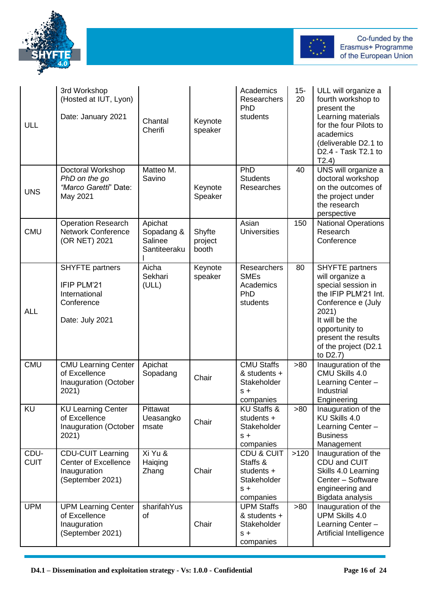



| ULL                 | 3rd Workshop<br>(Hosted at IUT, Lyon)<br>Date: January 2021                                 | Chantal<br>Cherifi                               | Keynote<br>speaker         | Academics<br>Researchers<br>PhD<br>students                                          | $15 -$<br>20 | ULL will organize a<br>fourth workshop to<br>present the<br>Learning materials<br>for the four Pilots to<br>academics<br>(deliverable D2.1 to<br>D2.4 - Task T2.1 to<br>T2.4)                                         |
|---------------------|---------------------------------------------------------------------------------------------|--------------------------------------------------|----------------------------|--------------------------------------------------------------------------------------|--------------|-----------------------------------------------------------------------------------------------------------------------------------------------------------------------------------------------------------------------|
| <b>UNS</b>          | Doctoral Workshop<br>PhD on the go<br>"Marco Garetti" Date:<br>May 2021                     | Matteo M.<br>Savino                              | Keynote<br>Speaker         | PhD<br><b>Students</b><br>Researches                                                 | 40           | UNS will organize a<br>doctoral workshop<br>on the outcomes of<br>the project under<br>the research<br>perspective                                                                                                    |
| <b>CMU</b>          | <b>Operation Research</b><br><b>Network Conference</b><br>(OR NET) 2021                     | Apichat<br>Sopadang &<br>Salinee<br>Santiteeraku | Shyfte<br>project<br>booth | Asian<br><b>Universities</b>                                                         | 150          | <b>National Operations</b><br>Research<br>Conference                                                                                                                                                                  |
| <b>ALL</b>          | <b>SHYFTE</b> partners<br>IFIP PLM'21<br>International<br>Conference<br>Date: July 2021     | Aicha<br>Sekhari<br>(ULL)                        | Keynote<br>speaker         | Researchers<br><b>SMEs</b><br>Academics<br>PhD<br>students                           | 80           | <b>SHYFTE</b> partners<br>will organize a<br>special session in<br>the IFIP PLM'21 Int.<br>Conference e (July<br>2021)<br>It will be the<br>opportunity to<br>present the results<br>of the project (D2.1<br>to D2.7) |
| <b>CMU</b>          | <b>CMU Learning Center</b><br>of Excellence<br>Inauguration (October<br>2021)               | Apichat<br>Sopadang                              | Chair                      | <b>CMU Staffs</b><br>& students +<br>Stakeholder<br>$s +$<br>companies               | >80          | Inauguration of the<br>CMU Skills 4.0<br>Learning Center -<br>Industrial<br>Engineering                                                                                                                               |
| KU                  | <b>KU Learning Center</b><br>of Excellence<br>Inauguration (October<br>2021)                | Pittawat<br>Ueasangko<br>msate                   | Chair                      | <b>KU Staffs &amp;</b><br>students +<br>Stakeholder<br>$S +$<br>companies            | >80          | Inauguration of the<br>KU Skills 4.0<br>Learning Center -<br><b>Business</b><br>Management                                                                                                                            |
| CDU-<br><b>CUIT</b> | <b>CDU-CUIT Learning</b><br><b>Center of Excellence</b><br>Inauguration<br>(September 2021) | Xi Yu &<br>Haiqing<br>Zhang                      | Chair                      | <b>CDU &amp; CUIT</b><br>Staffs &<br>students +<br>Stakeholder<br>$S +$<br>companies | >120         | Inauguration of the<br>CDU and CUIT<br>Skills 4.0 Learning<br>Center - Software<br>engineering and<br>Bigdata analysis                                                                                                |
| <b>UPM</b>          | <b>UPM Learning Center</b><br>of Excellence<br>Inauguration<br>(September 2021)             | sharifahYus<br>0f                                | Chair                      | <b>UPM Staffs</b><br>& students +<br>Stakeholder<br>$S +$<br>companies               | >80          | Inauguration of the<br><b>UPM Skills 4.0</b><br>Learning Center -<br>Artificial Intelligence                                                                                                                          |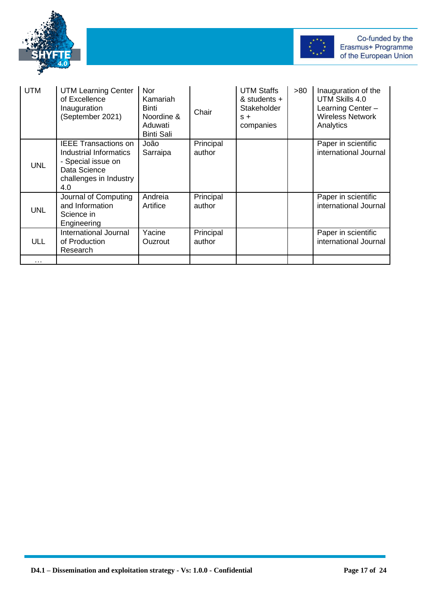



| <b>UTM</b> | <b>UTM Learning Center</b><br>of Excellence<br>Inauguration<br>(September 2021)                                       | Nor<br>Kamariah<br>Binti<br>Noordine &<br>Aduwati<br><b>Binti Sali</b> | Chair               | <b>UTM Staffs</b><br>& students $+$<br>Stakeholder<br>$S +$<br>companies | >80 | Inauguration of the<br>UTM Skills 4.0<br>Learning Center -<br><b>Wireless Network</b><br>Analytics |
|------------|-----------------------------------------------------------------------------------------------------------------------|------------------------------------------------------------------------|---------------------|--------------------------------------------------------------------------|-----|----------------------------------------------------------------------------------------------------|
| <b>UNL</b> | IEEE Transactions on<br>Industrial Informatics<br>- Special issue on<br>Data Science<br>challenges in Industry<br>4.0 | João<br>Sarraipa                                                       | Principal<br>author |                                                                          |     | Paper in scientific<br>international Journal                                                       |
| <b>UNL</b> | Journal of Computing<br>and Information<br>Science in<br>Engineering                                                  | Andreia<br>Artifice                                                    | Principal<br>author |                                                                          |     | Paper in scientific<br>international Journal                                                       |
| <b>ULL</b> | International Journal<br>of Production<br>Research                                                                    | Yacine<br><b>Ouzrout</b>                                               | Principal<br>author |                                                                          |     | Paper in scientific<br>international Journal                                                       |
| .          |                                                                                                                       |                                                                        |                     |                                                                          |     |                                                                                                    |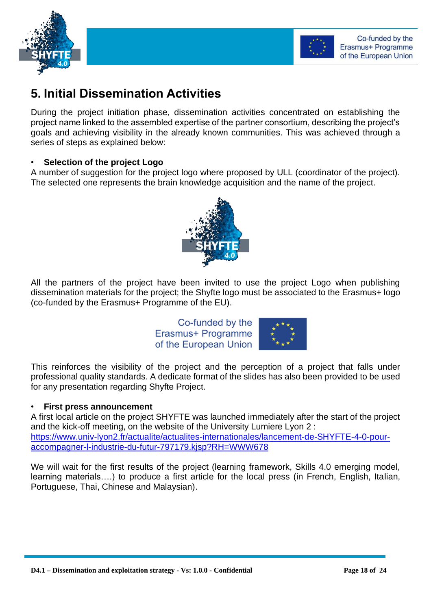



## <span id="page-17-0"></span>**5. Initial Dissemination Activities**

During the project initiation phase, dissemination activities concentrated on establishing the project name linked to the assembled expertise of the partner consortium, describing the project's goals and achieving visibility in the already known communities. This was achieved through a series of steps as explained below:

#### • **Selection of the project Logo**

A number of suggestion for the project logo where proposed by ULL (coordinator of the project). The selected one represents the brain knowledge acquisition and the name of the project.



All the partners of the project have been invited to use the project Logo when publishing dissemination materials for the project; the Shyfte logo must be associated to the Erasmus+ logo (co-funded by the Erasmus+ Programme of the EU).

> Co-funded by the Erasmus+ Programme of the European Union



This reinforces the visibility of the project and the perception of a project that falls under professional quality standards. A dedicate format of the slides has also been provided to be used for any presentation regarding Shyfte Project.

#### • **First press announcement**

A first local article on the project SHYFTE was launched immediately after the start of the project and the kick-off meeting, on the website of the University Lumiere Lyon 2 : [https://www.univ-lyon2.fr/actualite/actualites-internationales/lancement-de-SHYFTE-4-0-pour](https://www.univ-lyon2.fr/actualite/actualites-internationales/lancement-de-shyfte-4-0-pour-accompagner-l-industrie-du-futur-797179.kjsp?RH=WWW678)[accompagner-l-industrie-du-futur-797179.kjsp?RH=WWW678](https://www.univ-lyon2.fr/actualite/actualites-internationales/lancement-de-shyfte-4-0-pour-accompagner-l-industrie-du-futur-797179.kjsp?RH=WWW678)

We will wait for the first results of the project (learning framework, Skills 4.0 emerging model, learning materials….) to produce a first article for the local press (in French, English, Italian, Portuguese, Thai, Chinese and Malaysian).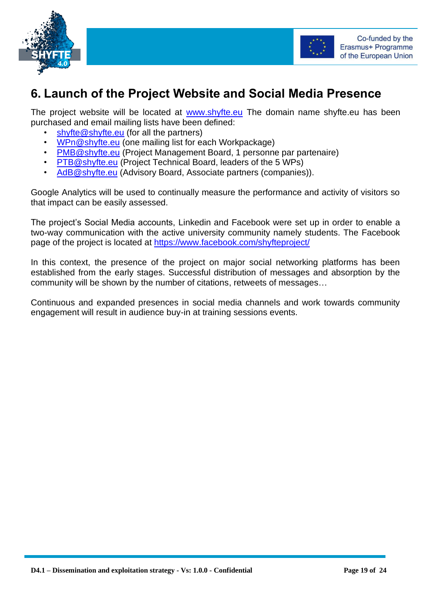



## <span id="page-18-0"></span>**6. Launch of the Project Website and Social Media Presence**

The project website will be located at [www.shyfte.eu](http://www.shyfte.eu/) The domain name shyfte.eu has been purchased and email mailing lists have been defined:

- [shyfte@shyfte.eu](mailto:shyfte@shyfte.eu) (for all the partners)
- [WPn@shyfte.eu](mailto:WPn@shyfte.eu) (one mailing list for each Workpackage)
- [PMB@shyfte.eu](mailto:PMB@shyfte.eu) (Project Management Board, 1 personne par partenaire)
- [PTB@shyfte.eu](mailto:PTB@shyfte.eu) (Project Technical Board, leaders of the 5 WPs)
- [AdB@shyfte.eu](mailto:AdB@shyfte.eu) (Advisory Board, Associate partners (companies)).

Google Analytics will be used to continually measure the performance and activity of visitors so that impact can be easily assessed.

The project's Social Media accounts, Linkedin and Facebook were set up in order to enable a two-way communication with the active university community namely students. The Facebook page of the project is located at<https://www.facebook.com/shyfteproject/>

In this context, the presence of the project on major social networking platforms has been established from the early stages. Successful distribution of messages and absorption by the community will be shown by the number of citations, retweets of messages…

Continuous and expanded presences in social media channels and work towards community engagement will result in audience buy-in at training sessions events.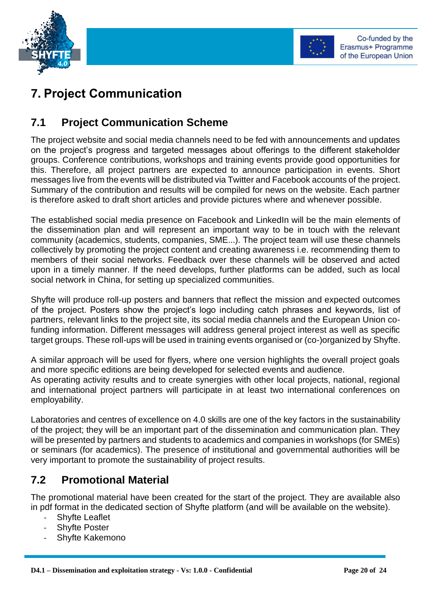



## <span id="page-19-0"></span>**7. Project Communication**

#### <span id="page-19-1"></span>**7.1 Project Communication Scheme**

The project website and social media channels need to be fed with announcements and updates on the project's progress and targeted messages about offerings to the different stakeholder groups. Conference contributions, workshops and training events provide good opportunities for this. Therefore, all project partners are expected to announce participation in events. Short messages live from the events will be distributed via Twitter and Facebook accounts of the project. Summary of the contribution and results will be compiled for news on the website. Each partner is therefore asked to draft short articles and provide pictures where and whenever possible.

The established social media presence on Facebook and LinkedIn will be the main elements of the dissemination plan and will represent an important way to be in touch with the relevant community (academics, students, companies, SME...). The project team will use these channels collectively by promoting the project content and creating awareness i.e. recommending them to members of their social networks. Feedback over these channels will be observed and acted upon in a timely manner. If the need develops, further platforms can be added, such as local social network in China, for setting up specialized communities.

Shyfte will produce roll-up posters and banners that reflect the mission and expected outcomes of the project. Posters show the project's logo including catch phrases and keywords, list of partners, relevant links to the project site, its social media channels and the European Union cofunding information. Different messages will address general project interest as well as specific target groups. These roll-ups will be used in training events organised or (co-)organized by Shyfte.

A similar approach will be used for flyers, where one version highlights the overall project goals and more specific editions are being developed for selected events and audience. As operating activity results and to create synergies with other local projects, national, regional and international project partners will participate in at least two international conferences on employability.

Laboratories and centres of excellence on 4.0 skills are one of the key factors in the sustainability of the project; they will be an important part of the dissemination and communication plan. They will be presented by partners and students to academics and companies in workshops (for SMEs) or seminars (for academics). The presence of institutional and governmental authorities will be very important to promote the sustainability of project results.

#### <span id="page-19-2"></span>**7.2 Promotional Material**

The promotional material have been created for the start of the project. They are available also in pdf format in the dedicated section of Shyfte platform (and will be available on the website).

- **Shyfte Leaflet**
- Shyfte Poster
- Shyfte Kakemono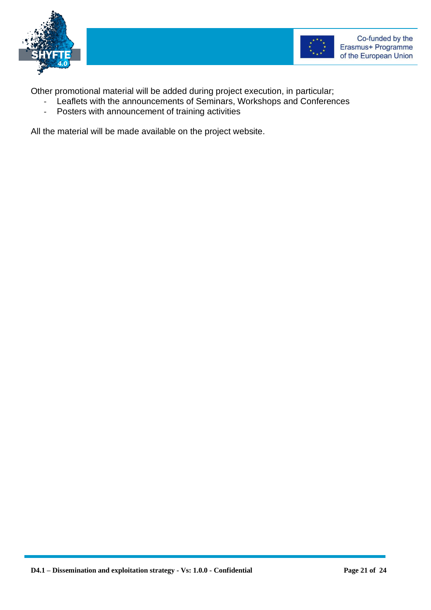



Other promotional material will be added during project execution, in particular;

- Leaflets with the announcements of Seminars, Workshops and Conferences
- Posters with announcement of training activities

All the material will be made available on the project website.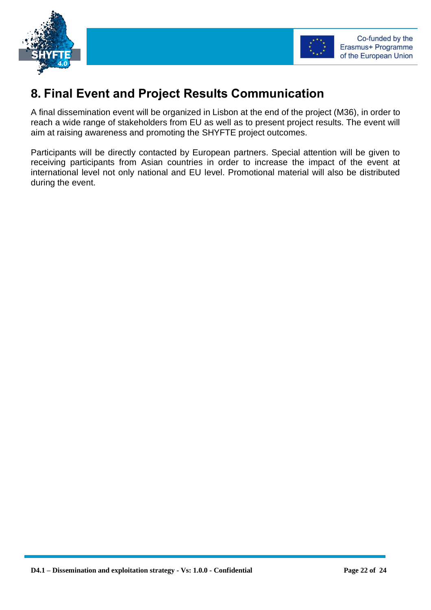



## <span id="page-21-0"></span>**8. Final Event and Project Results Communication**

A final dissemination event will be organized in Lisbon at the end of the project (M36), in order to reach a wide range of stakeholders from EU as well as to present project results. The event will aim at raising awareness and promoting the SHYFTE project outcomes.

Participants will be directly contacted by European partners. Special attention will be given to receiving participants from Asian countries in order to increase the impact of the event at international level not only national and EU level. Promotional material will also be distributed during the event.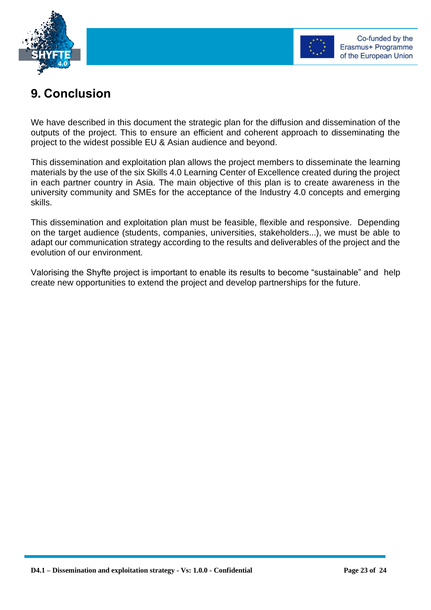



## <span id="page-22-0"></span>**9. Conclusion**

We have described in this document the strategic plan for the diffusion and dissemination of the outputs of the project. This to ensure an efficient and coherent approach to disseminating the project to the widest possible EU & Asian audience and beyond.

This dissemination and exploitation plan allows the project members to disseminate the learning materials by the use of the six Skills 4.0 Learning Center of Excellence created during the project in each partner country in Asia. The main objective of this plan is to create awareness in the university community and SMEs for the acceptance of the Industry 4.0 concepts and emerging skills.

This dissemination and exploitation plan must be feasible, flexible and responsive. Depending on the target audience (students, companies, universities, stakeholders...), we must be able to adapt our communication strategy according to the results and deliverables of the project and the evolution of our environment.

Valorising the Shyfte project is important to enable its results to become "sustainable" and help create new opportunities to extend the project and develop partnerships for the future.